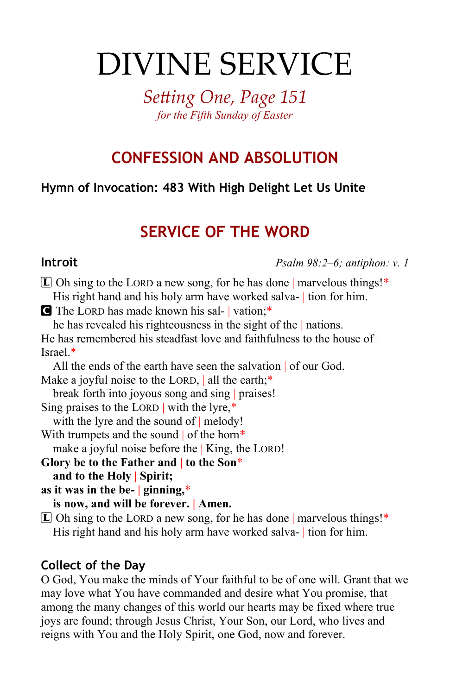# DIVINE SERVICE

*Setting One, Page 151 for the Fifth Sunday of Easter*

# **CONFESSION AND ABSOLUTION**

## **Hymn of Invocation: 483 With High Delight Let Us Unite**

# **SERVICE OF THE WORD**

**Introit** *Psalm 98:2–6; antiphon: v. 1*

 $[L]$  Oh sing to the LORD a new song, for he has done | marvelous things!\* His right hand and his holy arm have worked salva- | tion for him.

C The LORD has made known his sal- | vation;\*

he has revealed his righteousness in the sight of the | nations.

He has remembered his steadfast love and faithfulness to the house of Israel.\*

All the ends of the earth have seen the salvation of our God.

Make a joyful noise to the LORD, all the earth;\*

break forth into joyous song and sing | praises! Sing praises to the LORD | with the lyre,\*

with the lyre and the sound of | melody!

With trumpets and the sound of the horn\*

make a joyful noise before the | King, the LORD!

**Glory be to the Father and | to the Son**\* **and to the Holy | Spirit;**

**as it was in the be- | ginning,**\*

**is now, and will be forever. | Amen.**

 $\mathbb{L}$  Oh sing to the LORD a new song, for he has done | marvelous things!\* His right hand and his holy arm have worked salva- | tion for him.

### **Collect of the Day**

O God, You make the minds of Your faithful to be of one will. Grant that we may love what You have commanded and desire what You promise, that among the many changes of this world our hearts may be fixed where true joys are found; through Jesus Christ, Your Son, our Lord, who lives and reigns with You and the Holy Spirit, one God, now and forever.